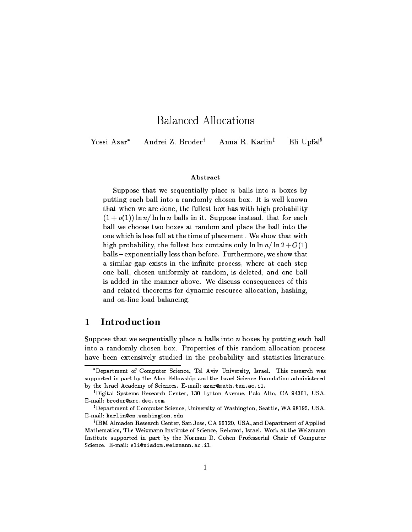# Balanced Allocations

Yossi Azar<sup>\*</sup> Andrei Z. Broder<sup>†</sup> Anna R. Karlin<sup>‡</sup>

Eli Upfal<sup>§</sup>

### Abstract

Suppose that we sequentially place n balls into n boxes by putting each ball into a randomly chosen box. It is well known that when we are done, the fullest box has with high probability  $(1 + o(1)) \ln n / \ln \ln n$  balls in it. Suppose instead, that for each ball we choose two boxes at random and place the ball into the one which is less full at the time of placement. We show that with high probability, the fullest box contains only  $\ln \ln n / \ln 2 + O(1)$ balls { exponentially less than before. Furthermore, we show that a similar gap exists in the infinite process, where at each step one ball, chosen uniformly at random, is deleted, and one ball is added in the manner above. We discuss consequences of this and related theorems for dynamic resource allocation, hashing, and on-line load balancing.

#### 1Introduction

Suppose that we sequentially place n balls into n boxes by putting each ball into a randomly chosen box. Properties of this random allocation process have been extensively studied in the probability and statistics literature.

Department of Computer Science, Tel Aviv University, Israel. This research was supported in part by the Alon Fellowship and the Israel Science Foundation administered by the Israel Academy of Sciences. E-mail: azar@math.tau.ac.il.

<sup>y</sup> Digital Systems Research Center, 130 Lytton Avenue, Palo Alto, CA 94301, USA. E-mail : broder@src.dec.com.

Uepartment of Computer Science, University of Washington, Seattle, WA 98195, USA. E-mail : karlin@cs.washington.edu

 $^{\circ}$ IBM Almaden Research Center, San Jose, CA 95120, USA, and Department of Applied Mathematics, The Weizmann Institute of Science, Rehovot, Israel. Work at the Weizmann Institute supported in part by the Norman D. Cohen Professorial Chair of Computer Science. E-mail: eli@wisdom.weizmann.ac.il.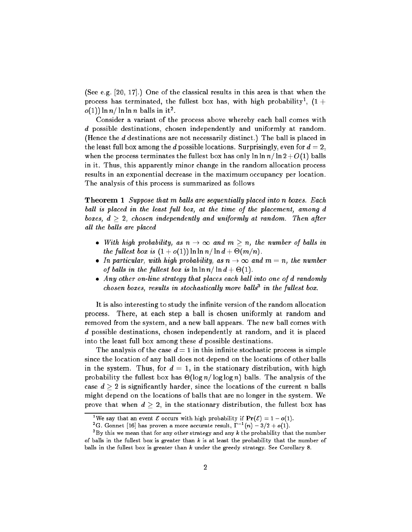(See e.g. [20, 17].) One of the classical results in this area is that when the process has terminated, the fullest box has, with high probability ,  $(1 +$  $o(1))$  ln  $n/$  ln ln  $n$  balls in it<sup>2</sup>.

Consider a variant of the process above whereby each ball comes with d possible destinations, chosen independently and uniformly at random. (Hence the d destinations are not necessarily distinct.) The ball is placed in the least full box among the d possible locations. Surprisingly, even for  $d = 2$ , when the process terminates the fullest box has only  $\ln \ln n / \ln 2 + O(1)$  balls in it. Thus, this apparently minor change in the random allocation process results in an exponential decrease in the maximum occupancy per location. The analysis of this process is summarized as follows

**Theorem 1** Suppose that m balls are sequentially placed into n boxes. Each ball is placed in the least full box, at the time of the placement, among d boxes,  $d > 2$ , chosen independently and uniformly at random. Then after all the balls are placed

- $\bullet$  With high probability, as  $n \rightarrow \infty$  and  $m > n$ , the number of balls in the fullest box is  $(1 + o(1)) \ln \ln n / \ln d + \Theta(m/n)$ .
- $\bullet$  In particular, with high probability, as  $n\rightarrow\infty$  and  $m=n$ , the number of balls in the fullest box is  $\ln \ln n / \ln d + \Theta(1)$ .
- Any other on-line strategy that places each ball into one of d randomly chosen boxes, results in stochastically more balls<sup>-</sup> in the fullest box.

It is also interesting to study the infinite version of the random allocation process. There, at each step a ball is chosen uniformly at random and removed from the system, and a new ball appears. The new ball comes with d possible destinations, chosen independently at random, and it is placed into the least full box among these d possible destinations.

The analysis of the case  $d=1$  in this infinite stochastic process is simple since the location of any ball does not depend on the locations of other balls in the system. Thus, for  $d = 1$ , in the stationary distribution, with high probability the fullest box has  $\Theta(\log n / \log \log n)$  balls. The analysis of the case  $d > 2$  is significantly harder, since the locations of the current n balls might depend on the locations of balls that are no longer in the system. We prove that when  $d \geq 2$ , in the stationary distribution, the fullest box has

<sup>&</sup>lt;sup>1</sup>We say that an event  $\mathcal E$  occurs with high probability if  $\Pr(\mathcal E) = 1 - o(1)$ .

<sup>&</sup>lt;sup>-</sup>G. Gonnet [16] has proven a more accurate result,  $1 - (n) - 3/2 + o(1)$ .

 $\,$  by this we mean that for any other strategy and any  $\kappa$  the probability that the number of balls in the fullest box is greater than  $k$  is at least the probability that the number of balls in the fullest box is greater than  $k$  under the greedy strategy. See Corollary 8.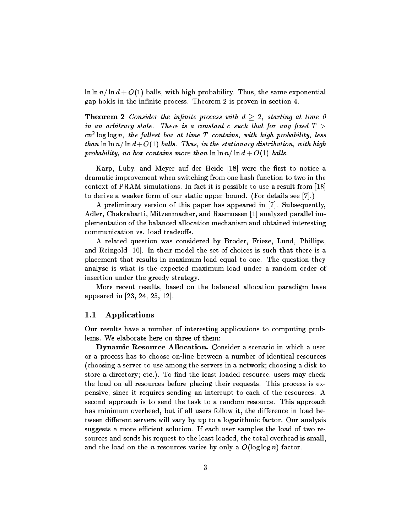$\ln \ln n / \ln d + O(1)$  balls, with high probability. Thus, the same exponential gap holds in the infinite process. Theorem 2 is proven in section 4.

**Theorem 2** Consider the infinite process with  $d > 2$ , starting at time 0 in an arbitrary state. There is a constant c such that for any fixed  $T >$ cn<sup>2</sup> log log n, the fullest box at time T contains, with high probability, less than  $\ln \ln n/\ln d+O(1)$  balls. Thus, in the stationary distribution, with high probability, no box contains more than  $\ln \ln n / \ln d + O(1)$  balls.

Karp, Luby, and Meyer auf der Heide [18] were the first to notice a dramatic improvement when switching from one hash function to two in the context of PRAM simulations. In fact it is possible to use a result from [18] to derive a weaker form of our static upper bound. (For details see [7].)

A preliminary version of this paper has appeared in [7]. Subsequently, Adler, Chakrabarti, Mitzenmacher, and Rasmussen [1] analyzed parallel implementation of the balanced allocation mechanism and obtained interesting communication vs. load tradeoffs.

A related question was considered by Broder, Frieze, Lund, Phillips, and Reingold [10]. In their model the set of choices is such that there is a placement that results in maximum load equal to one. The question they analyse is what is the expected maximum load under a random order of insertion under the greedy strategy.

More recent results, based on the balanced allocation paradigm have appeared in [23, 24, 25, 12].

### 1.1 Applications

Our results have a number of interesting applications to computing problems. We elaborate here on three of them:

Dynamic Resource Allocation. Consider a scenario in which a user or a process has to choose on-line between a number of identical resources (choosing a server to use among the servers in a network; choosing a disk to store a directory; etc.). To find the least loaded resource, users may check the load on all resources before placing their requests. This process is expensive, since it requires sending an interrupt to each of the resources. A second approach is to send the task to a random resource. This approach has minimum overhead, but if all users follow it, the difference in load between different servers will vary by up to a logarithmic factor. Our analysis suggests a more efficient solution. If each user samples the load of two resources and sends his request to the least loaded, the total overhead is small, and the load on the n resources varies by only a  $O(\log \log n)$  factor.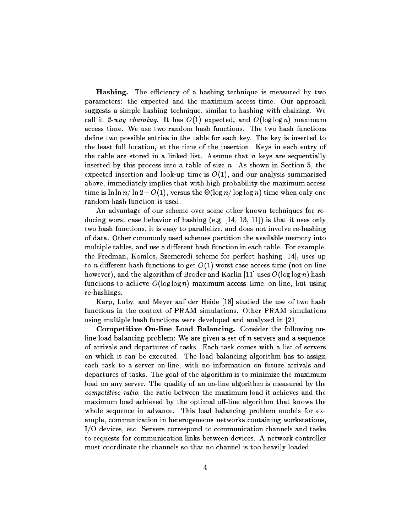**Hashing.** The efficiency of a hashing technique is measured by two parameters: the expected and the maximum access time. Our approach suggests a simple hashing technique, similar to hashing with chaining. We call it 2-way chaining. It has  $O(1)$  expected, and  $O(\log \log n)$  maximum access time. We use two random hash functions. The two hash functions define two possible entries in the table for each key. The key is inserted to the least full location, at the time of the insertion. Keys in each entry of the table are stored in a linked list. Assume that  $n$  keys are sequentially inserted by this process into a table of size  $n$ . As shown in Section 5, the expected insertion and look-up time is  $O(1)$ , and our analysis summarized above, immediately implies that with high probability the maximum access time is  $\ln \ln n / \ln 2 + O(1),$  versus the  $\Theta(\log n / \log \log n)$  time when only one random hash function is used.

An advantage of our scheme over some other known techniques for reducing worst case behavior of hashing (e.g. [14, 13, 11]) is that it uses only two hash functions, it is easy to parallelize, and does not involve re-hashing of data. Other commonly used schemes partition the available memory into multiple tables, and use a different hash function in each table. For example, the Fredman, Komlos, Szemeredi scheme for perfect hashing [14], uses up to n different hash functions to get  $O(1)$  worst case access time (not on-line however), and the algorithm of Broder and Karlin [11] uses  $O(\log \log n)$  hash functions to achieve  $O(\log \log n)$  maximum access time, on-line, but using re-hashings.

Karp, Luby, and Meyer auf der Heide [18] studied the use of two hash functions in the context of PRAM simulations. Other PRAM simulations using multiple hash functions were developed and analyzed in [21].

Competitive On-line Load Balancing. Consider the following online load balancing problem: We are given a set of  $n$  servers and a sequence of arrivals and departures of tasks. Each task comes with a list of servers on which it can be executed. The load balancing algorithm has to assign each task to a server on-line, with no information on future arrivals and departures of tasks. The goal of the algorithm is to minimize the maximum load on any server. The quality of an on-line algorithm is measured by the competitive ratio: the ratio between the maximum load it achieves and the maximum load achieved by the optimal off-line algorithm that knows the whole sequence in advance. This load balancing problem models for example, communication in heterogeneous networks containing workstations, I/O devices, etc. Servers correspond to communication channels and tasks to requests for communication links between devices. A network controller must coordinate the channels so that no channel is too heavily loaded.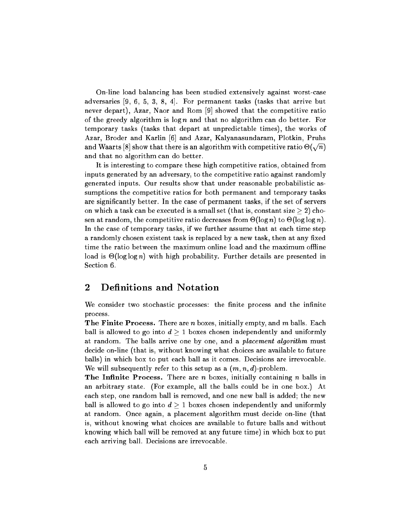On-line load balancing has been studied extensively against worst-case adversaries [9, 6, 5, 3, 8, 4]. For permanent tasks (tasks that arrive but never depart), Azar, Naor and Rom [9] showed that the competitive ratio of the greedy algorithm is  $\log n$  and that no algorithm can do better. For temporary tasks (tasks that depart at unpredictable times), the works of Azar, Broder and Karlin [6] and Azar, Kalyanasundaram, Plotkin, Pruhs and Waarts [8] show that there is an algorithm with competitive ratio  $\Theta(\sqrt{n})$ and that no algorithm can do better.

It is interesting to compare these high competitive ratios, obtained from inputs generated by an adversary, to the competitive ratio against randomly generated inputs. Our results show that under reasonable probabilistic assumptions the competitive ratios for both permanent and temporary tasks are signicantly better. In the case of permanent tasks, if the set of servers on which a task can be executed is a small set (that is, constant size  $\geq 2$ ) chosen at random, the competitive ratio decreases from  $\Theta$ (log n) to  $\Theta$ (log log n). In the case of temporary tasks, if we further assume that at each time step a randomly chosen existent task is replaced by a new task, then at any fixed time the ratio between the maximum online load and the maximum offline load is  $\Theta$ (log log n) with high probability. Further details are presented in Section 6.

#### 2**Definitions and Notation**

We consider two stochastic processes: the finite process and the infinite process.

The Finite Process. There are  $n$  boxes, initially empty, and  $m$  balls. Each ball is allowed to go into  $d \geq 1$  boxes chosen independently and uniformly at random. The balls arrive one by one, and a *placement algorithm* must decide on-line (that is, without knowing what choices are available to future balls) in which box to put each ball as it comes. Decisions are irrevocable. We will subsequently refer to this setup as a  $(m, n, d)$ -problem.

**The Infinite Process.** There are n boxes, initially containing n balls in an arbitrary state. (For example, all the balls could be in one box.) At each step, one random ball is removed, and one new ball is added; the new ball is allowed to go into  $d > 1$  boxes chosen independently and uniformly at random. Once again, a placement algorithm must decide on-line (that is, without knowing what choices are available to future balls and without knowing which ball will be removed at any future time) in which box to put each arriving ball. Decisions are irrevocable.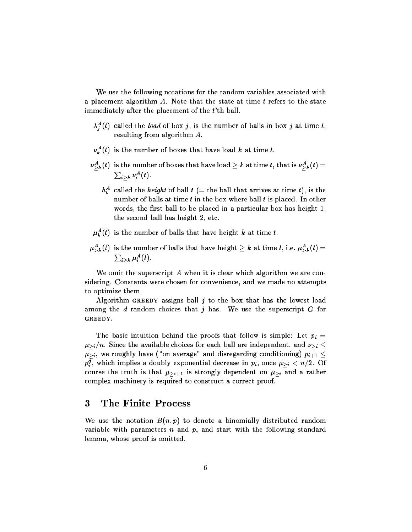We use the following notations for the random variables associated with a placement algorithm  $A$ . Note that the state at time  $t$  refers to the state immediately after the placement of the t'th ball.

- $\lambda_j^A(t)$  called the *load* of box  $j$ , is the number of balls in box  $j$  at time  $t,$ resulting from algorithm A.
- $\nu_k^A(t)$  is the number of boxes that have load  $k$  at time  $t.$
- $\nu^A_{>k}(t)$  is the number of boxes that have load  $\geq k$  at time  $t,$  that is  $\nu^A_{>k}(t)=0$  $\sum_{i>k} \nu_i^A(t)$ .
	- $h^A_t$  called the  $\mathit{height}$  of ball  $t$  (= the ball that arrives at time  $t),$  is the number of balls at time  $t$  in the box where ball  $t$  is placed. In other words, the first ball to be placed in a particular box has height 1, the second ball has height 2, etc.
- $\mu_k^A(t)$  is the number of balls that have height k at time t.
- $\mu_{\geq k}^A(t)$  is the number of balls that have height  $\geq k$  at time  $t,$  i.e.  $\mu_{\geq k}^A(t)=0$  $\sum_{i>k}\mu_i^A(t)$  .

We omit the superscript  $A$  when it is clear which algorithm we are considering. Constants were chosen for convenience, and we made no attempts to optimize them.

Algorithm GREEDY assigns ball  $j$  to the box that has the lowest load among the  $d$  random choices that  $j$  has. We use the superscript  $G$  for GREEDY.

The basic intuition behind the proofs that follow is simple: Let  $p_i =$  $\mu_{\geq i}/n$ . Since the available choices for each ball are independent, and  $\nu_{\geq i} \leq$  $\mu_{\geq i}$ , we roughly have ("on average" and disregarding conditioning)  $p_{i+1} \leq$  $p_i^d$ , which implies a doubly exponential decrease in  $p_i$ , once  $\mu_{\geq i} < n/2.$  Of course the truth is that  $\mu_{\geq i+1}$  is strongly dependent on  $\mu_{\geq i}$  and a rather complex machinery is required to construct a correct proof.

#### 3 The Finite Process

We use the notation  $B(n, p)$  to denote a binomially distributed random variable with parameters  $n$  and  $p$ , and start with the following standard lemma, whose proof is omitted.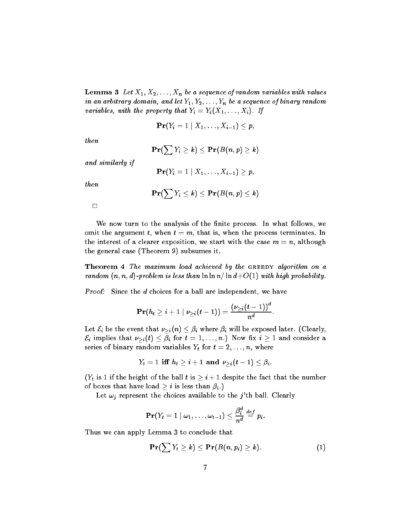**Lemma 3** Let  $X_1, X_2, \ldots, X_n$  be a sequence of random variables with values in an arbitrary domain, and let  $Y_1, Y_2, \ldots, Y_n$  be a sequence of binary random variables, with the property that  $Y_i = Y_i(X_1, \ldots, X_i)$ . If

$$
\mathbf{Pr}(Y_i=1\mid X_1,\ldots,X_{i-1})\leq p,
$$

then

$$
\mathbf{Pr}(\sum Y_i \geq k) \leq \mathbf{Pr}(B(n,p) \geq k)
$$

and similarly if

$$
\mathbf{Pr}(Y_i=1\mid X_1,\ldots,X_{i-1})\geq p,
$$

then

$$
\mathbf{Pr}(\sum Y_i \leq k) \leq \mathbf{Pr}(B(n,p) \leq k)
$$

 $\Box$ 

We now turn to the analysis of the finite process. In what follows, we omit the argument t, when  $t = m$ , that is, when the process terminates. In the interest of a clearer exposition, we start with the case  $m = n$ , although the general case (Theorem 9) subsumes it.

Theorem 4 The maximum load achieved by the GREEDY algorithm on a random  $(n, n, d)$ -problem is less than  $\ln \ln n / \ln d + O(1)$  with high probability.

Proof: Since the d choices for a ball are independent, we have

$$
\mathbf{Pr}(h_t \geq i+1 \mid \nu_{\geq i}(t-1)) = \frac{(\nu_{\geq i}(t-1))^d}{n^d}.
$$

Let  $\mathcal{E}_i$  be the event that  $\nu_{\geq i}(n) \leq \beta_i$  where  $\beta_i$  will be exposed later. (Clearly,  $\mathcal{E}_i$  implies that  $\nu_{\geq i}(t) \leq \beta_i$  for  $t = 1, \ldots, n$ .) Now fix  $i \geq 1$  and consider a series of binary random variables  $Y_t$  for  $t = 2, \ldots, n$ , where

$$
Y_t = 1 \text{ iff } h_t \geq i+1 \text{ and } \nu_{\geq i}(t-1) \leq \beta_i.
$$

 $(Y_t$  is 1 if the height of the ball t is  $\geq i + 1$  despite the fact that the number of boxes that have load  $\geq i$  is less than  $\beta_i$ .)

Let  $\omega_j$  represent the choices available to the j'th ball. Clearly

$$
\mathbf{Pr}(Y_t = 1 \mid \omega_1, \ldots, \omega_{t-1}) \leq \frac{\beta_i^d}{n^d} \stackrel{def}{=} p_i.
$$

Thus we can apply Lemma 3 to conclude that

$$
\mathbf{Pr}(\sum Y_t \geq k) \leq \mathbf{Pr}(B(n, p_i) \geq k). \tag{1}
$$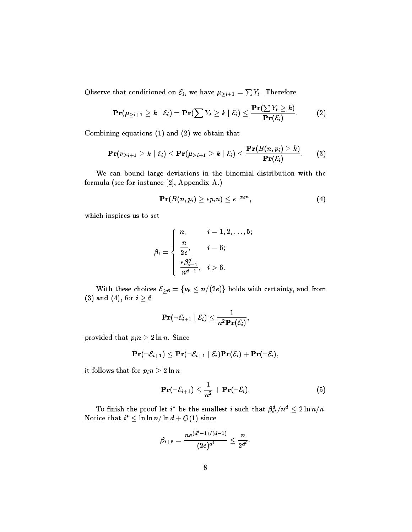Observe that conditioned on  $\mathcal{E}_{i},$  we have  $\mu_{>i+1} = \sum Y_{t}.$  Therefore

$$
\mathbf{Pr}(\mu_{\geq i+1} \geq k \mid \mathcal{E}_i) = \mathbf{Pr}(\sum Y_t \geq k \mid \mathcal{E}_i) \leq \frac{\mathbf{Pr}(\sum Y_t \geq k)}{\mathbf{Pr}(\mathcal{E}_i)}.
$$
 (2)

Combining equations (1) and (2) we obtain that

$$
\mathbf{Pr}(\nu_{\geq i+1} \geq k \mid \mathcal{E}_i) \leq \mathbf{Pr}(\mu_{\geq i+1} \geq k \mid \mathcal{E}_i) \leq \frac{\mathbf{Pr}(B(n, p_i) \geq k)}{\mathbf{Pr}(\mathcal{E}_i)}.
$$
 (3)

We can bound large deviations in the binomial distribution with the formula (see for instance [2], Appendix A.)

$$
\mathbf{Pr}(B(n,p_i) \ge ep_i n) \le e^{-p_i n}, \tag{4}
$$

which inspires us to set

$$
\beta_i=\left\{\begin{array}{ll}n,&i=1,2,\ldots,5;\\[0.2cm] \displaystyle\frac{n}{2e},&i=6;\\[0.2cm] \displaystyle\frac{e\beta_{i-1}^d}{n^{d-1}},&i>6.\end{array}\right.
$$

With these choices  $\mathcal{E}_{\geq 6} = \{\nu_6 \leq n/(2e)\}\)$  holds with certainty, and from (3) and (4), for  $i \geq 6$ 

$$
\mathbf{Pr}(\neg \mathcal{E}_{i+1} | \mathcal{E}_i) \leq \frac{1}{n^2 \mathbf{Pr}(\mathcal{E}_i)},
$$

provided that  $p_i n \geq 2 \ln n$ . Since

$$
\mathbf{Pr}(\neg \mathcal{E}_{i+1}) \leq \mathbf{Pr}(\neg \mathcal{E}_{i+1} \mid \mathcal{E}_i)\mathbf{Pr}(\mathcal{E}_i) + \mathbf{Pr}(\neg \mathcal{E}_i),
$$

it follows that for  $p_i n \geq 2 \ln n$ 

$$
\mathbf{Pr}(\neg \mathcal{E}_{i+1}) \leq \frac{1}{n^2} + \mathbf{Pr}(\neg \mathcal{E}_i).
$$
 (5)

:

To finish the proof let  $i^*$  be the smallest  $i$  such that  $\beta_{i^*}^d/n^d \leq 2\ln n/n$ . Notice that  $i^* \leq \ln \ln n / \ln d + O(1)$  since

$$
\beta_{i+6}=\frac{ne^{(d^*-1)/(d-1)}}{(2e)^{d^i}}\leq \frac{n}{2^{d^i}}
$$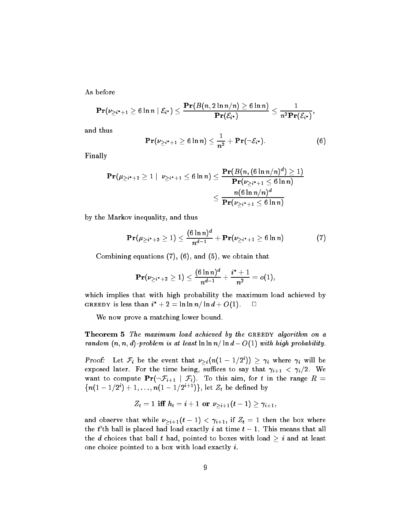As before

$$
\mathbf{Pr}(\nu_{\geq i^*+1}\geq 6\ln n \mid \mathcal{E}_{i^*}) \leq \frac{\mathbf{Pr}(B(n,2\ln n/n)\geq 6\ln n)}{\mathbf{Pr}(\mathcal{E}_{i^*})} \leq \frac{1}{n^2\mathbf{Pr}(\mathcal{E}_{i^*})},
$$

and thus

$$
\mathbf{Pr}(\nu_{\geq i^*+1}\geq 6\ln n)\leq \frac{1}{n^2}+\mathbf{Pr}(\neg \mathcal{E}_{i^*}).\hspace{1cm} (6)
$$

Finally

$$
\begin{aligned} \mathbf{Pr}(\mu_{\geq i^*+2} \geq 1 \mid \; \nu_{\geq i^*+1} \leq 6\ln n) & \leq \frac{\mathbf{Pr}(B(n, (6\ln n/n)^d) \geq 1)}{\mathbf{Pr}(\nu_{\geq i^*+1} \leq 6\ln n)} \\ & \leq \frac{n(6\ln n/n)^d}{\mathbf{Pr}(\nu_{\geq i^*+1} \leq 6\ln n)} \end{aligned}
$$

by the Markov inequality, and thus

$$
\mathbf{Pr}(\mu_{\geq i^*+2} \geq 1) \leq \frac{(6 \ln n)^d}{n^{d-1}} + \mathbf{Pr}(\nu_{\geq i^*+1} \geq 6 \ln n) \tag{7}
$$

Combining equations  $(7)$ ,  $(6)$ , and  $(5)$ , we obtain that

$$
\mathbf{Pr}(\nu_{\geq i^*+2}\geq 1)\leq \frac{(6\ln n)^d}{n^{d-1}}+\frac{i^*+1}{n^2}=o(1),
$$

which implies that with high probability the maximum load achieved by GREEDY is less than  $i^* + 2 = \ln \ln n / \ln d + O(1)$ .  $\Box$ 

We now prove a matching lower bound.

**Theorem 5** The maximum load achieved by the GREEDY algorithm on a random  $(n, n, d)$ -problem is at least  $\ln \ln n / \ln d - O(1)$  with high probability.

Proof: Let  $\mathcal{F}_i$  be the event that  $\nu_{>i}(n(1-1/2^i)) \geq \gamma_i$  where  $\gamma_i$  will be exposed later. For the time being, suffices to say that  $\gamma_{i+1} < \gamma_i/2$ . We want to compute  $Pr(\neg \mathcal{F}_{i+1} | \mathcal{F}_i)$ . To this aim, for t in the range  $R =$  $\{n(1 - 1/2^{i}) + 1, \ldots, n(1 - 1/2^{i+1})\},\}$  let  $Z_t$  be defined by

$$
Z_t = 1 \text{ iff } h_t = i + 1 \text{ or } \nu_{\geq i+1}(t-1) \geq \gamma_{i+1},
$$

and observe that while  $\nu_{\geq i+1}(t-1) < \gamma_{i+1},$  if  $Z_t = 1$  then the box where the  $t$ 'th ball is placed had load exactly  $i$  at time  $t-1$ . This means that all the d choices that ball t had, pointed to boxes with load  $\geq i$  and at least one choice pointed to a box with load exactly i.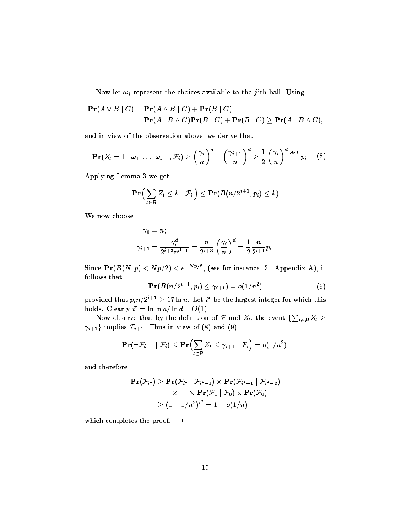Now let  $\omega_j$  represent the choices available to the j'th ball. Using

$$
\begin{aligned} \mathbf{Pr}(A \vee B \mid C) &= \mathbf{Pr}(A \wedge \bar{B} \mid C) + \mathbf{Pr}(B \mid C) \\ &= \mathbf{Pr}(A \mid \bar{B} \wedge C) \mathbf{Pr}(\bar{B} \mid C) + \mathbf{Pr}(B \mid C) \geq \mathbf{Pr}(A \mid \bar{B} \wedge C), \end{aligned}
$$

and in view of the observation above, we derive that

$$
\mathbf{Pr}(Z_t=1 \mid \omega_1,\ldots,\omega_{t-1},\mathcal{F}_i) \geq \left(\frac{\gamma_i}{n}\right)^d - \left(\frac{\gamma_{i+1}}{n}\right)^d \geq \frac{1}{2} \left(\frac{\gamma_i}{n}\right)^d \stackrel{def}{=} p_i. \quad (8)
$$

Applying Lemma 3 we get

$$
\mathbf{Pr}\Big(\sum_{t\in\boldsymbol{R}}Z_t\le k\Bigm|\mathcal{F}_i\Big)\le\mathbf{Pr}(B\big(n/2^{i+1},p_i)\le k)
$$

We now choose

$$
\gamma_0=n;\\ \gamma_{i+1}=\frac{\gamma_i^d}{2^{i+3}n^{d-1}}=\frac{n}{2^{i+3}}\left(\frac{\gamma_i}{n}\right)^d=\frac{1}{2}\frac{n}{2^{i+1}}p_i.
$$

Since  $\mathbf{Pr}(B(N,p) < Np/2) < e^{-Np/8}$ , (see for instance [2], Appendix A), it follows that

$$
\mathbf{Pr}(B(n/2^{i+1}, p_i) \leq \gamma_{i+1}) = o(1/n^2)
$$
 (9)

provided that  $p_i n / 2^{i+1} \geq 17 \ln n.$  Let  $i^*$  be the largest integer for which this holds. Clearly  $i^* = \ln \ln n / \ln d - O(1)$ .

Now observe that by the definition of  ${\cal F}$  and  $Z_t,$  the event  $\{\sum_{t\in R} Z_t\geq$  $\gamma_{i+1}$ } implies  $\mathcal{F}_{i+1}$ . Thus in view of (8) and (9)

$$
\mathbf{Pr}(\neg\mathcal{F}_{i+1} \mid \mathcal{F}_i) \leq \mathbf{Pr}\Bigl(\sum_{t\in R} Z_t \leq \gamma_{i+1} \;\Big\vert\; \mathcal{F}_i\Bigr) = o(1/n^2),
$$

and therefore

$$
\begin{aligned} \mathbf{Pr}(\mathcal{F}_{i^*}) \geq \mathbf{Pr}(\mathcal{F}_{i^*} \mid \mathcal{F}_{i^*-1}) \times \mathbf{Pr}(\mathcal{F}_{i^*-1} \mid \mathcal{F}_{i^*-2}) \\ &\times \cdots \times \mathbf{Pr}(\mathcal{F}_1 \mid \mathcal{F}_0) \times \mathbf{Pr}(\mathcal{F}_0) \\ &\geq (1 - 1/n^2)^{i^*} = 1 - o(1/n) \end{aligned}
$$

which completes the proof.  $\square$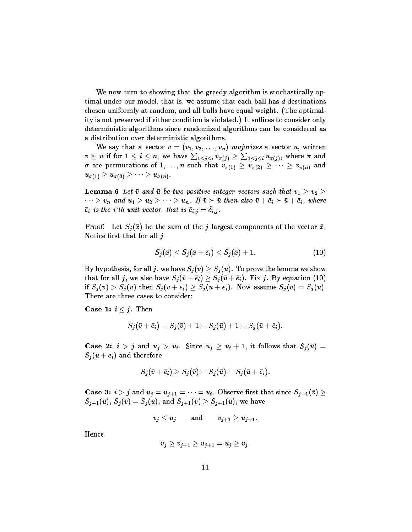We now turn to showing that the greedy algorithm is stochastically optimal under our model, that is, we assume that each ball has  $d$  destinations chosen uniformly at random, and all balls have equal weight. (The optimality is not preserved if either condition is violated.) It suffices to consider only deterministic algorithms since randomized algorithms can be considered as a distribution over deterministic algorithms.

We say that a vector  $\bar{v} = (v_1, v_2, \ldots, v_n)$  majorizes a vector  $\bar{u}$ , written  $\bar v \,\succeq\, \bar u$  if for  $1\le i\le n,$  we have  $\sum_{1\le j\le i}v_{\pi(j)}\ge \sum_{1\le j\le i}u_{\sigma(j)},$  where  $\pi$  and  $\sigma$  are permutations of 1,..., n such that  $v_{\pi(1)} \geq v_{\pi(2)} \geq \cdots \geq v_{\pi(n)}$  and  $u_{\sigma(1)} \geq u_{\sigma(2)} \geq \cdots \geq u_{\sigma(n)}.$ 

Lemma 6 Let  $\bar{v}$  and  $\bar{u}$  be two positive integer vectors such that  $v_1 \geq v_2 \geq 0$  $v_1 \cdot \cdot \cdot \cdot v_n$  and  $u_1 > u_2 > \cdot \cdot \cdot \cdot \cdot u_n$ . If  $v \succ u$  then also  $v + e_i \succ u + e_i$  , where  $\overline{e}_i$  is the i'th unit vector, that is  $\overline{e}_{i,j} = \delta_{i,j}$ .

**Proof:** Let  $S_j(\bar{x})$  be the sum of the j largest components of the vector  $\bar{x}$ . Notice first that for all  $j$ 

$$
S_j(\bar{x}) \leq S_j(\bar{x} + \bar{e}_i) \leq S_j(\bar{x}) + 1. \tag{10}
$$

By hypothesis, for all  $j$ , we have  $S_j(\bar v) \geq S_j(\bar u)$ . To prove the lemma we show that for all  $j$ , we also have  $S_j(\bar{v}+\bar{e}_i)\geq S_j(\bar{u}+\bar{e}_i)$ . Fix  $j$ . By equation (10) if  $S_j(\bar{v}) > S_j(\bar{u})$  then  $S_j(\bar{v} + \bar{e}_i) \geq S_j(\bar{u} + \bar{e}_i)$ . Now assume  $S_j(\bar{v}) = S_j(\bar{u})$ . There are three cases to consider:

**Case 1:**  $i \leq j$ . Then

$$
S_j(\bar{v}+\bar{e}_i)=S_j(\bar{v})+1=S_j(\bar{u})+1=S_j(\bar{u}+\bar{e}_i).
$$

**Case 2:**  $i > j$  and  $u_j > u_i$ . Since  $u_j \ge u_i + 1$ , it follows that  $S_j(\bar{u}) =$  $S_j(\bar{u} + \bar{e}_i)$  and therefore

$$
S_j(\bar{v}+\bar{e}_i)\geq S_j(\bar{v})=S_j(\bar{u})=S_j(\bar{u}+\bar{e}_i).
$$

**Case 3:**  $i > j$  and  $u_j = u_{j+1} = \cdots = u_i$ . Observe first that since  $S_{j-1}(\bar{v}) \geq$  $S_{j-1}(\bar{u}),\,S_{j}(\bar{v})=S_{j}(\bar{u}),\,\text{and}\;S_{j+1}(\bar{v})\geq S_{j+1}(\bar{u}),$  we have

 $v_j \leq u_j$  and  $v_{j+1} \geq u_{j+1}$ .

Hence

$$
v_j\geq v_{j+1}\geq u_{j+1}=u_j\geq v_j.
$$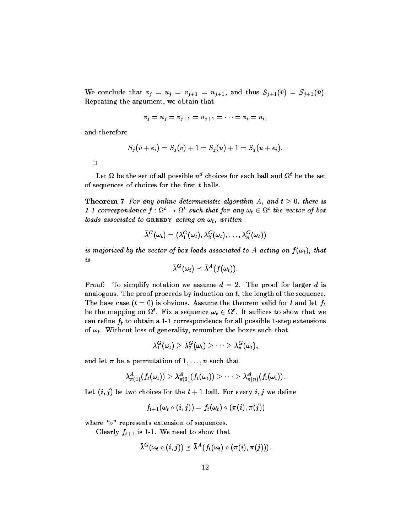We conclude that  $v_j = u_j = v_{j+1} = u_{j+1}$ , and thus  $S_{j+1}(\bar{v}) = S_{j+1}(\bar{u})$ . Repeating the argument, we obtain that

$$
v_j = u_j = v_{j+1} = u_{j+1} = \cdots = v_i = u_i,
$$

and therefore

$$
S_j(\bar{v}+\bar{e}_i)=S_j(\bar{v})+1=S_j(\bar{u})+1=S_j(\bar{u}+\bar{e}_i).
$$

Let  $\Omega$  be the set of all possible  $n^d$  choices for each ball and  $\Omega^t$  be the set of sequences of choices for the first  $t$  balls.

**Theorem 7** For any online deterministic algorithm A, and  $t > 0$ , there is 1-1 correspondence  $f: \Omega^t \to \Omega^t$  such that for any  $\omega_t \in \Omega^t$  the vector of box loads associated to GREEDY acting on  $\omega_t$ , written

$$
\bar{\lambda}^G(\omega_t) = (\lambda_1^G(\omega_t), \lambda_2^G(\omega_t), \ldots, \lambda_n^G(\omega_t))
$$

is majorized by the vector of box loads associated to A acting on  $f(\omega_t)$ , that is

$$
\bar{\lambda}^G(\omega_t) \preceq \bar{\lambda}^A(f(\omega_t)).
$$

Proof: To simplify notation we assume  $d = 2$ . The proof for larger d is analogous. The proof proceeds by induction on  $t$ , the length of the sequence. The base case  $(t = 0)$  is obvious. Assume the theorem valid for t and let  $f_t$ be the mapping on  $\Omega^t$ . Fix a sequence  $\omega_t \in \Omega^t$ . It suffices to show that we can refine  $f_t$  to obtain a 1-1 correspondence for all possible 1-step extensions of  $\omega_t$ . Without loss of generality, renumber the boxes such that

$$
\lambda_1^G(\omega_t) \geq \lambda_2^G(\omega_t) \geq \cdots \geq \lambda_n^G(\omega_t),
$$

and let  $\pi$  be a permutation of  $1,\ldots,n$  such that

$$
\lambda^{A}_{\pi(1)}(f_{t}(\omega_{t})) \geq \lambda^{A}_{\pi(2)}(f_{t}(\omega_{t})) \geq \cdots \geq \lambda^{A}_{\pi(n)}(f_{t}(\omega_{t})) .
$$

Let  $(i, j)$  be two choices for the  $t + 1$  ball. For every  $i, j$  we define

$$
f_{t+1}(\omega_t \diamond (i,j)) = f_t(\omega_t) \diamond (\pi(i),\pi(j))
$$

where  $\sqrt{\ }$  represents extension of sequences.

Clearly  $f_{t+1}$  is 1-1. We need to show that

$$
\bar{\lambda}^G(\omega_t \diamond (i,j)) \preceq \bar{\lambda}^A(f_t(\omega_t) \diamond (\pi(i), \pi(j))).
$$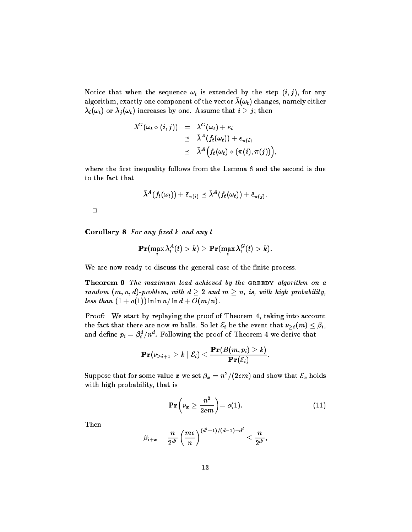Notice that when the sequence  $\omega_t$  is extended by the step  $(i, j)$ , for any algorithm, exactly one component of the vector  $\lambda(\omega_t)$  changes, namely either  $\lambda_i(\omega_t)$  or  $\lambda_j(\omega_t)$  increases by one. Assume that  $i\geq j;$  then

$$
\begin{array}{lcl} \bar{\lambda}^G(\omega_t \diamond (i,j)) & = & \bar{\lambda}^G(\omega_t) + \bar{e}_i \\ & \leq & \bar{\lambda}^A(f_t(\omega_t)) + \bar{e}_{\pi(i)} \\ & \leq & \bar{\lambda}^A\Big(f_t(\omega_t) \diamond (\pi(i), \pi(j)) \Big) \end{array}
$$

;

where the first inequality follows from the Lemma 6 and the second is due to the fact that

$$
\bar{\lambda}^A(f_t(\omega_t))+\bar{e}_{\pi(i)}\preceq \bar{\lambda}^A(f_t(\omega_t))+\bar{e}_{\pi(j)}.
$$

 $\Box$ 

Corollary  $8$  For any fixed  $k$  and any  $t$ 

$$
\mathbf{Pr}(\max_i \lambda^A_i(t) > k) \geq \mathbf{Pr}(\max_i \lambda^G_i(t) > k).
$$

We are now ready to discuss the general case of the finite process.

Theorem 9 The maximum load achieved by the GREEDY algorithm on a random  $(m, n, d)$ -problem, with  $d \geq 2$  and  $m \geq n$ , is, with high probability, less than  $(1 + o(1))$  ln ln n/ ln  $d + O(m/n)$ .

Proof: We start by replaying the proof of Theorem 4, taking into account the fact that there are now  $m$  balls. So let  $\mathcal{E}_i$  be the event that  $\nu_{>i}(m)\leq \beta_i,$ and define  $p_i = \beta_i^d/n^d.$  Following the proof of Theorem 4 we derive that

$$
\mathbf{Pr}(\nu_{\geq i+1} \geq k \mid \mathcal{E}_i) \leq \frac{\mathbf{Pr}(B(m,p_i) \geq k)}{\mathbf{Pr}(\mathcal{E}_i)}.
$$

Suppose that for some value  $x$  we set  $\beta_x=n^2/(2em)$  and show that  ${\mathcal E}_x$  holds with high probability, that is

$$
\mathbf{Pr}\left(\nu_x \ge \frac{n^2}{2em}\right) = o(1). \tag{11}
$$

Then

$$
\beta_{i+x} = \frac{n}{2^{d^i}} \left(\frac{me}{n}\right)^{(d^i-1)/(d-1)-d^i} \leq \frac{n}{2^{d^i}},
$$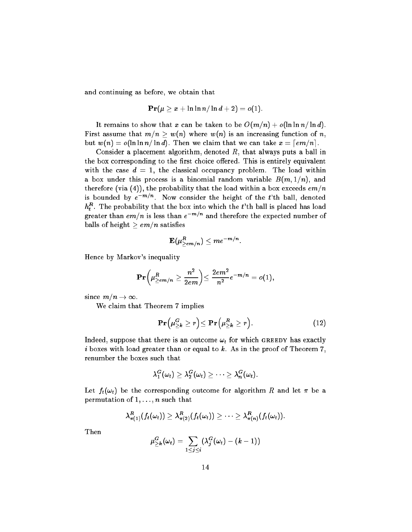and continuing as before, we obtain that

$$
\mathbf{Pr}(\mu \geq x + \ln \ln n / \ln d + 2) = o(1).
$$

It remains to show that x can be taken to be  $O(m/n) + o(\ln \ln n / \ln d)$ . First assume that  $m/n > w(n)$  where  $w(n)$  is an increasing function of n, but  $w(n) = o(\ln \ln n / \ln d)$ . Then we claim that we can take  $x = \lceil e/m \rceil$ .

Consider a placement algorithm, denoted  $R$ , that always puts a ball in the box corresponding to the first choice offered. This is entirely equivalent with the case  $d = 1$ , the classical occupancy problem. The load within a box under this process is a binomial random variable  $B(m, 1/n)$ , and therefore (via (4)), the probability that the load within a box exceeds  $em/n$ is bounded by  $e^{-m/n}$ . Now consider the height of the  $t$ 'th ball, denoted  $h^{\pmb{R}}_t$  . The probability that the box into which the  $t$ 'th ball is placed has load greater than  $em/n$  is less than  $e^{-m/n}$  and therefore the expected number of balls of height  $\geq em/n$  satisfies

$$
\mathbf{E}(\mu^R_{\ge em/n}) \le me^{-m/n}
$$

Hence by Markov's inequality

$$
\mathbf{Pr}\bigg(\mu_{\ge em/n}^R\ge \frac{n^2}{2em}\bigg) \le \frac{2em^2}{n^2}e^{-m/n}=o(1),
$$

since  $m/n \to \infty$ .

We claim that Theorem 7 implies

$$
\mathbf{Pr} \Big( \mu_{\geq k}^G \geq r \Big) \leq \mathbf{Pr} \Big( \mu_{\geq k}^R \geq r \Big). \tag{12}
$$

Indeed, suppose that there is an outcome  $\omega_t$  for which GREEDY has exactly i boxes with load greater than or equal to  $k$ . As in the proof of Theorem 7, renumber the boxes such that

$$
\lambda_1^G(\omega_t) \geq \lambda_2^G(\omega_t) \geq \cdots \geq \lambda_n^G(\omega_t).
$$

Let  $f_t(\omega_t)$  be the corresponding outcome for algorithm R and let  $\pi$  be a permutation of  $1, \ldots, n$  such that

$$
\lambda^R_{\pi(1)}(f_t(\omega_t)) \geq \lambda^R_{\pi(2)}(f_t(\omega_t)) \geq \cdots \geq \lambda^R_{\pi(n)}(f_t(\omega_t)).
$$

Then

$$
\mu_{\geq k}^G(\omega_t) = \sum_{1 \leq j \leq i} (\lambda_j^G(\omega_t) - (k-1))
$$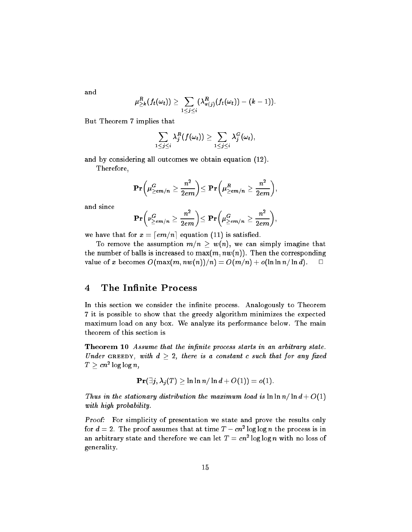and

$$
\mu_{\geq k}^R(f_t(\omega_t))\geq \sum_{1\leq j\leq i}(\lambda_{\pi(j)}^R(f_t(\omega_t))-(k-1)).
$$

But Theorem 7 implies that

$$
\sum_{1\leq j\leq i}\lambda_j^R(f(\omega_t))\geq \sum_{1\leq j\leq i}\lambda_j^G(\omega_t),
$$

and by considering all outcomes we obtain equation (12).

Therefore,

$$
\mathbf{Pr}\bigg(\mu_{\ge em/n}^G\ge \frac{n^2}{2em}\bigg) \!\leq \mathbf{Pr}\bigg(\mu_{\ge em/n}^R\ge \frac{n^2}{2em}\bigg),
$$

and since

$$
\mathbf{Pr}\bigg(\nu_{\geq em/n}^{G}\geq \frac{n^2}{2em}\bigg) \leq \mathbf{Pr}\bigg(\mu_{\geq em/n}^{G}\geq \frac{n^2}{2em}\bigg),
$$

we have that for  $x = \lfloor em/n \rfloor$  equation (11) is satisfied.

To remove the assumption  $m/n \geq w(n)$ , we can simply imagine that the number of balls is increased to  $\max(m, n w(n))$ . Then the corresponding value of x becomes  $O(\max(m, nw(n))/n) = O(m/n) + o(\ln \ln n/\ln d)$ .  $\Box$ 

#### 4The Infinite Process

In this section we consider the infinite process. Analogously to Theorem 7 it is possible to show that the greedy algorithm minimizes the expected maximum load on any box. We analyze its performance below. The main theorem of this section is

Theorem 10 Assume that the infinite process starts in an arbitrary state. Under GREEDY, with  $d > 2$ , there is a constant c such that for any fixed  $T > c n^2 \log \log n$  .

$$
\mathbf{Pr}(\exists j, \lambda_j(T) \geq \ln \ln n / \ln d + O(1)) = o(1).
$$

Thus in the stationary distribution the maximum load is  $\ln \ln n / \ln d + O(1)$ with high probability.

Proof: For simplicity of presentation we state and prove the results only for  $d=2$ . The proof assumes that at time  $T-cn^2\log\log n$  the process is in an arbitrary state and therefore we can let  $T=cn^2\log\log n$  with no loss of generality.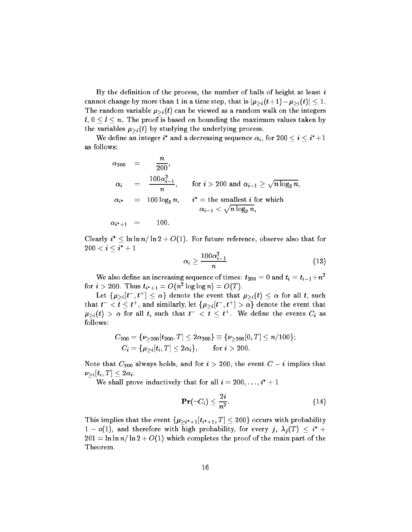By the definition of the process, the number of balls of height at least  $i$ cannot change by more than 1 in a time step, that is  $|\mu_{\geq i}(t+1)-\mu_{\geq i}(t)|\leq 1.$ The random variable  $\mu_{>i}(t)$  can be viewed as a random walk on the integers  $l, 0 \leq l \leq n$ . The proof is based on bounding the maximum values taken by the variables  $\mu_{\geq i}(t)$  by studying the underlying process.

We define an integer i\* and a decreasing sequence  $\alpha_i$ , for 200  $\le i \le i^*+1$ as follows:

$$
\alpha_{200} = \frac{n}{200},
$$
\n
$$
\alpha_i = \frac{100\alpha_{i-1}^2}{n}, \quad \text{for } i > 200 \text{ and } \alpha_{i-1} \ge \sqrt{n \log_2 n},
$$
\n
$$
\alpha_{i^*} = 100 \log_2 n, \quad i^* = \text{the smallest } i \text{ for which}
$$
\n
$$
\alpha_{i-1} < \sqrt{n \log_2 n},
$$
\n
$$
\alpha_{i^*+1} = 100.
$$

Clearly  $i^* \leq \ln \ln n / \ln 2 + O(1).$  For future reference, observe also that for  $200 < \boldsymbol{i} < \boldsymbol{i^*}+1$ 

$$
\alpha_i \geq \frac{100\alpha_{i-1}^2}{n} \qquad \qquad (13)
$$

We also define an increasing sequence of times:  $t_{200} = 0$  and  $t_i = t_{i-1}+n^2$ for  $i > 200$ . Thus  $t_{i^*+1} = O(n^2 \log \log n) = O(T)$ .

Let  $\{\mu_{>i}|t^-,t^+|\leq \alpha\}$  denote the event that  $\mu_{>i}(t)\leq \alpha$  for all  $t,$  such that  $t^- < t \leq t^+$ , and similarly, let  $\{\mu_{>i}|t^-,t^+|>\alpha\}$  denote the event that  $\mu_{\geq i}(t)$   $>$   $\alpha$  for all  $t,$  such that  $t^ <$   $t$   $\leq$   $t^+ .$  We define the events  $C_i$  as follows:

$$
C_{200} = \{ \nu_{\geq 200}[t_{200}, T] \leq 2\alpha_{200} \} \equiv \{ \nu_{\geq 200}[0, T] \leq n/100 \};
$$
  

$$
C_i = \{ \mu_{>i}[t_i, T] \leq 2\alpha_i \}, \quad \text{for } i > 200.
$$

Note that  $C_{\rm 200}$  always holds, and for  $i > 200,$  the event  $C - i$  implies that  $\nu_{\gt i}[t_i,T] \leq 2\alpha_i.$ 

We shall prove inductively that for all  $i = 200, \ldots, i^* + 1$ 

$$
\mathbf{Pr}(\neg C_i) \le \frac{2i}{n^2}.\tag{14}
$$

This implies that the event  $\{\mu_{\geq i^*+1}[t_{i^*+1}, T] \leq 200\}$  occurs with probability  $1$  –  $o(1),$  and therefore with high probability, for every  $j, \; \lambda_j (T) \; \leq \; i^* + 1$  $201 = \ln \ln n / \ln 2 + O(1)$  which completes the proof of the main part of the Theorem.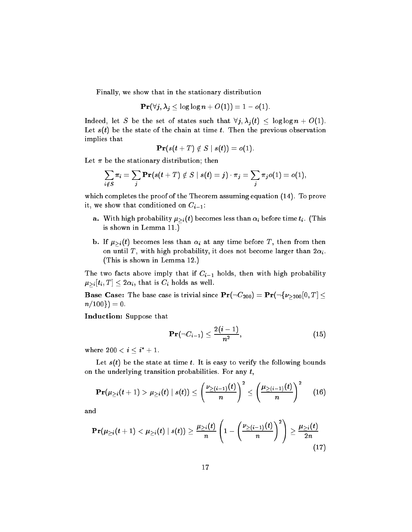Finally, we show that in the stationary distribution

$$
\mathbf{Pr}(\forall j, \lambda_j \leq \log \log n + O(1)) = 1 - o(1).
$$

Indeed, let S be the set of states such that  $\forall j, \lambda_j(t) \leq \log \log n + O(1)$ . Let  $s(t)$  be the state of the chain at time t. Then the previous observation implies that

$$
\mathbf{Pr}(s(t+T) \notin S \mid s(t)) = o(1).
$$

Let  $\pi$  be the stationary distribution; then

$$
\sum_{i \notin S} \pi_i = \sum_j \mathbf{Pr}(s(t+T) \notin S \mid s(t) = j) \cdot \pi_j = \sum_j \pi_j o(1) = o(1),
$$

which completes the proof of the Theorem assuming equation (14). To prove it, we show that conditioned on  $C_{i-1}$ :

- a. With high probability  $\mu_{\geq i}(t)$  becomes less than  $\alpha_i$  before time  $t_i$ . (This is shown in Lemma 11.)
- **b.** If  $\mu_{\geq i}(t)$  becomes less than  $\alpha_i$  at any time before T, then from then on until T, with high probability, it does not become larger than  $2\alpha_i$ . (This is shown in Lemma 12.)

The two facts above imply that if  $C_{i-1}$  holds, then with high probability  $\mu_{>i}[t_i, T] \leq 2\alpha_i$ , that is  $C_i$  holds as well.

<code>Base Case: The base case is trivial since  $\mathbf{Pr}(\neg C_{200}) = \mathbf{Pr}(\neg \{\nu_{\geqslant 200}[0,T]\leq$ </code>  $n/100$ } = 0.

Induction: Suppose that

$$
\mathbf{Pr}(\neg C_{i-1}) \le \frac{2(i-1)}{n^2},\tag{15}
$$

where  $200 < \boldsymbol{i} < \boldsymbol{i^*} + 1.$ 

Let  $s(t)$  be the state at time t. It is easy to verify the following bounds on the underlying transition probabilities. For any  $t$ ,

$$
\mathbf{Pr}(\mu_{\geq i}(t+1) > \mu_{\geq i}(t) \mid s(t)) \leq \left(\frac{\nu_{\geq (i-1)}(t)}{n}\right)^2 \leq \left(\frac{\mu_{\geq (i-1)}(t)}{n}\right)^2 \qquad (16)
$$

and

$$
\mathbf{Pr}(\mu_{\geq i}(t+1)<\mu_{\geq i}(t) \mid s(t)) \geq \frac{\mu_{\geq i}(t)}{n}\left(1-\left(\frac{\nu_{\geq (i-1)}(t)}{n}\right)^2\right) \geq \frac{\mu_{\geq i}(t)}{2n} \tag{17}
$$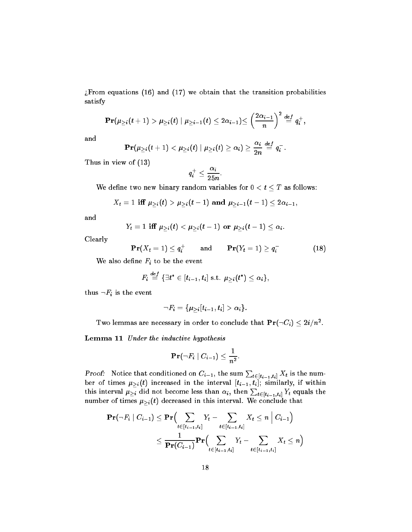$i$ From equations (16) and (17) we obtain that the transition probabilities satisfy

$$
\mathbf{Pr}(\mu_{\geq i}(t+1)>\mu_{\geq i}(t) \mid \mu_{\geq i-1}(t)\leq 2\alpha_{i-1})\leq \left(\frac{2\alpha_{i-1}}{n}\right)^2\stackrel{def}{=}q_i^+,
$$

and

$$
\mathbf{Pr}(\mu_{\geq i}(t+1)<\mu_{\geq i}(t) \mid \mu_{\geq i}(t)\geq \alpha_i)\geq \frac{\alpha_i}{2n}\stackrel{def}{=}q_i^-.
$$

Thus in view of (13)

$$
q_i^+\leq \frac{\alpha_i}{25n}.
$$

We define two new binary random variables for  $0 < t \leq T$  as follows:

$$
X_t = 1 \text{ iff } \mu_{\geq i}(t) > \mu_{\geq i}(t-1) \text{ and } \mu_{\geq i-1}(t-1) \leq 2\alpha_{i-1},
$$

and

$$
Y_t=1 \text{ iff } \mu_{\geq i}(t) < \mu_{\geq i}(t-1) \text{ or } \mu_{\geq i}(t-1) \leq \alpha_i.
$$

Clearly

$$
\mathbf{Pr}(X_t = 1) \leq q_i^+ \qquad \text{and} \qquad \mathbf{Pr}(Y_t = 1) \geq q_i^- \tag{18}
$$

We also define  $F_i$  to be the event

$$
F_i \stackrel{def}{=} \{\exists t^* \in [t_{i-1}, t_i] \text{ s.t. } \mu_{\geq i}(t^*) \leq \alpha_i\},
$$

thus  $\neg F_i$  is the event

$$
\neg F_i = \{\mu_{\geq i}[t_{i-1}, t_i] > \alpha_i\}.
$$

Two lemmas are necessary in order to conclude that  $\mathbf{Pr}(\neg C_i) \leq 2i/n^2$  .

Lemma 11 Under the inductive hypothesis

$$
\mathbf{Pr}(\neg F_i \mid C_{i-1}) \leq \frac{1}{n^2}.
$$

*Proof:* Notice that conditioned on  $C_{i-1}$ , the sum  $\sum_{t \in [t_{i-1}, t_i]} X_t$  is the number of times  $\mu_{>i}(t)$  increased in the interval  $[t_{i-1}, t_i]$ ; similarly, if within this interval  $\mu_{\geq i}$  did not become less than  $\alpha_i,$  then  $\sum_{t\in [t_{i-1},t_i]} Y_t$  equals the number of times  $\mu_{\geq i}(t)$  decreased in this interval. We conclude that

$$
\begin{aligned} \mathbf{Pr}(\neg F_i \mid C_{i-1}) &\leq \mathbf{Pr}\Big(\sum_{t \in [t_{i-1}, t_i]} Y_t - \sum_{t \in [t_{i-1}, t_i]} X_t \leq n \mid C_{i-1}\Big) \\ &\leq \frac{1}{\mathbf{Pr}(C_{i-1})} \mathbf{Pr}\Big(\sum_{t \in [t_{i-1}, t_i]} Y_t - \sum_{t \in [t_{i-1}, t_i]} X_t \leq n\Big) \end{aligned}
$$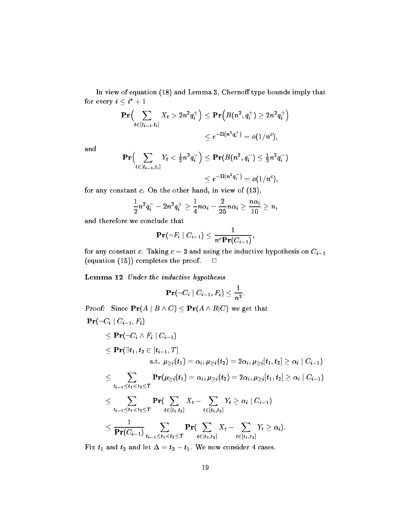In view of equation  $(18)$  and Lemma 3, Chernoff type bounds imply that for every  $i\leq i^*+1$ 

$$
\begin{aligned} \mathbf{Pr}\Big(\sum_{t \in [t_{i-1}, t_i]} X_t > 2n^2 q_i^+\Big) &\leq \mathbf{Pr}\Big(B\big(n^2, q_i^+\big) \geq 2n^2 q_i^+\Big) \\ &\leq e^{-\Omega\big(n^2 q_i^+\big)} = o\big(1/n^c\big), \end{aligned}
$$

and

$$
\begin{aligned} \mathbf{Pr}\Bigl(\sum_{t\in[t_{i-1},t_i]}Y_t<\tfrac{1}{2}n^2q_i^-\Bigr)\leq \mathbf{Pr}(B(n^2,q_i^-)\leq \tfrac{1}{2}n^2q_i^-\bigr)\\ \leq e^{-\Omega(n^2q_i^-)}=o(1/n^c), \end{aligned}
$$

for any constant  $c$ . On the other hand, in view of  $(13)$ ,

$$
\frac{1}{2}n^2q_i^--2n^2q_i^+\geq \frac{1}{4}n\alpha_i-\frac{2}{25}n\alpha_i\geq \frac{n\alpha_i}{10}\geq n,
$$

and therefore we conclude that

$$
\mathbf{Pr}(\neg F_i \mid C_{i-1}) \leq \frac{1}{n^c\mathbf{Pr}(C_{i-1})},
$$

for any constant c. Taking  $c = 3$  and using the inductive hypothesis on  $C_{i-1}$ (equation (15)) completes the proof.  $\square$ 

Lemma 12 Under the inductive hypothesis

$$
\mathbf{Pr}(\neg C_i \mid C_{i-1}, F_i) \leq \frac{1}{n^2}.
$$

**Proof:** Since  $\mathbf{Pr}(A \mid B \land C) \leq \mathbf{Pr}(A \land B|C)$  we get that

$$
\begin{aligned} &\mathbf{Pr}(\neg C_i \mid C_{i-1}, F_i) \\ &\leq \mathbf{Pr}(\neg C_i \land F_i \mid C_{i-1}) \\ &\leq \mathbf{Pr}(\exists t_1, t_2 \in [t_{i-1}, T] \\ &\text{s.t. } \mu_{\geq i}(t_1) = \alpha_i, \mu_{\geq i}(t_2) = 2\alpha_i, \mu_{\geq i}[t_1, t_2] \geq \alpha_i \mid C_{i-1}) \\ &\leq \sum_{t_{i-1} \leq t_1 < t_2 \leq T} \mathbf{Pr}(\mu_{\geq i}(t_1) = \alpha_i, \mu_{\geq i}(t_2) = 2\alpha_i, \mu_{\geq i}[t_1, t_2] \geq \alpha_i \mid C_{i-1}) \\ &\leq \sum_{t_{i-1} \leq t_1 < t_2 \leq T} \mathbf{Pr}(\sum_{t \in [t_1, t_2]} X_t - \sum_{t \in [t_1, t_2]} Y_t \geq \alpha_i \mid C_{i-1}) \\ &\leq \frac{1}{\mathbf{Pr}(C_{i-1})} \sum_{t_{i-1} \leq t_1 < t_2 \leq T} \mathbf{Pr}(\sum_{t \in [t_1, t_2]} X_t - \sum_{t \in [t_1, t_2]} Y_t \geq \alpha_i). \end{aligned}
$$

Fix  $t_1$  and  $t_2$  and let  $\Delta = t_2 - t_1$ . We now consider 4 cases.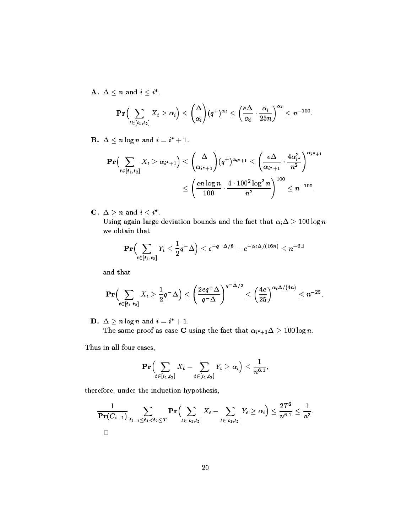$\mathbf{A.}~\Delta < n~\text{and}~i < i^{*}.$ 

$$
\mathbf{Pr}\Big(\sum_{t\in[t_1,t_2]}X_t\geq\alpha_i\Big)\leq\binom{\Delta}{\alpha_i}(q^+)^{\alpha_i}\leq\left(\frac{e\Delta}{\alpha_i}\cdot\frac{\alpha_i}{25n}\right)^{\alpha_i}\leq n^{-100}.
$$

 $\mathbf{B.} \ \Delta \leq n \log n \ \text{and} \ i = i^* + 1.$ 

$$
\mathbf{Pr}\Big(\sum_{t \in [t_1, t_2]} X_t \ge \alpha_{i^*+1}\Big) \le \binom{\Delta}{\alpha_{i^*+1}} (q^+) ^{\alpha_{i^*+1}} \le \left(\frac{e\Delta}{\alpha_{i^*+1}} \cdot \frac{4\alpha_{i^*}^2}{n^2}\right)^{\alpha_{i^*+1}} \\ \le \left(\frac{e n \log n}{100} \cdot \frac{4 \cdot 100^2 \log^2 n}{n^2}\right)^{100} \le n^{-100}.
$$

 $\mathbf{C.} \;\, \Delta \gt n \;\, \text{and}\; i < i^{*}.$ 

Using again large deviation bounds and the fact that  $\alpha_i \Delta \geq 100 \log n$ we obtain that

$$
\mathbf{Pr}\Bigl(\sum_{t\in[t_1,t_2]}Y_t\le\frac{1}{2}q^-\Delta\Bigr)\le e^{-q^-\Delta/8}=e^{-\alpha_i\Delta/(16n)}\le n^{-6.1}
$$

and that

$$
\mathbf{Pr}\Bigl(\sum_{t\in [t_1,t_2]} X_t \geq \frac{1}{2}q^{-}\Delta\Bigr) \leq \left(\frac{2eq^{+}\Delta}{q^{-}\Delta}\right)^{q^{-}\Delta/2} \leq \left(\frac{4e}{25}\right)^{\alpha_i\Delta/(4n)} \leq n^{-25}.
$$

 $\mathbf{D.} \ \Delta > n \log n$  and  $i = i^* + 1$ . The same proof as case C using the fact that  $\alpha_{i^*+1}\Delta > 100$  log n.

Thus in all four cases,

$$
\mathbf{Pr}\Bigl(\sum_{t\in[t_1,t_2]}X_t-\sum_{t\in[t_1,t_2]}Y_t\geq\alpha_i\Bigr)\leq\frac{1}{n^{6.1}},
$$

therefore, under the induction hypothesis,

$$
\frac{1}{\Pr(C_{i-1})}\sum_{t_{i-1}\leq t_1
$$

: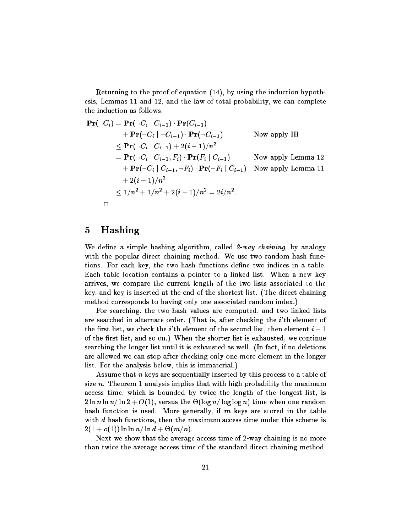Returning to the proof of equation (14), by using the induction hypothesis, Lemmas 11 and 12, and the law of total probability, we can complete the induction as follows:

$$
\begin{aligned}\n\mathbf{Pr}(\neg C_i) &= \mathbf{Pr}(\neg C_i \mid C_{i-1}) \cdot \mathbf{Pr}(C_{i-1}) \\
&\quad + \mathbf{Pr}(\neg C_i \mid \neg C_{i-1}) \cdot \mathbf{Pr}(\neg C_{i-1}) \qquad \text{Now apply IH} \\
&\le \mathbf{Pr}(\neg C_i \mid C_{i-1}) + 2(i-1)/n^2 \\
&= \mathbf{Pr}(\neg C_i \mid C_{i-1}, F_i) \cdot \mathbf{Pr}(F_i \mid C_{i-1}) \qquad \text{Now apply Lemma 12} \\
&\quad + \mathbf{Pr}(\neg C_i \mid C_{i-1}, \neg F_i) \cdot \mathbf{Pr}(\neg F_i \mid C_{i-1}) \qquad \text{Now apply Lemma 11} \\
&\quad + 2(i-1)/n^2 \\
&\le 1/n^2 + 1/n^2 + 2(i-1)/n^2 = 2i/n^2.\n\end{aligned}
$$

#### 5 Hashing

We define a simple hashing algorithm, called  $2$ -way chaining, by analogy with the popular direct chaining method. We use two random hash functions. For each key, the two hash functions define two indices in a table. Each table location contains a pointer to a linked list. When a new key arrives, we compare the current length of the two lists associated to the key, and key is inserted at the end of the shortest list. (The direct chaining method corresponds to having only one associated random index.)

For searching, the two hash values are computed, and two linked lists are searched in alternate order. (That is, after checking the *i*'th element of the first list, we check the i'th element of the second list, then element  $i+1$ of the first list, and so on.) When the shorter list is exhausted, we continue searching the longer list until it is exhausted as well. (In fact, if no deletions are allowed we can stop after checking only one more element in the longer list. For the analysis below, this is immaterial.)

Assume that *n* keys are sequentially inserted by this process to a table of size  $n$ . Theorem 1 analysis implies that with high probability the maximum access time, which is bounded by twice the length of the longest list, is  $2\ln n\ln n/\ln 2 + O(1),$  versus the  $\Theta(\log n/\log\log n)$  time when one random hash function is used. More generally, if  $m$  keys are stored in the table with  $d$  hash functions, then the maximum access time under this scheme is  $2(1+o(1))\ln\ln n/\ln d +\Theta(m/n).$ 

Next we show that the average access time of 2-way chaining is no more than twice the average access time of the standard direct chaining method.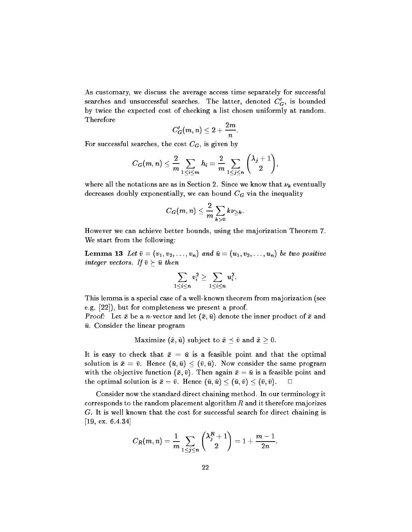As customary, we discuss the average access time separately for successful searches and unsuccessful searches. The latter, denoted  $C_G^{\prime}$ , is bounded by twice the expected cost of checking a list chosen uniformly at random. Therefore

$$
C_G'(m,n)\leq 2+\frac{2m}{n}
$$

:

For successful searches, the cost  $C_G$ , is given by

$$
C_G(m,n) \leq \frac{2}{m} \sum_{1 \leq i \leq m} h_i = \frac{2}{m} \sum_{1 \leq j \leq n} {\lambda_j + 1 \choose 2},
$$

where all the notations are as in Section 2. Since we know that  $\nu_k$  eventually decreases doubly exponentially, we can bound  $C_G$  via the inequality

$$
C_G(m,n)\leq \frac{2}{m}\sum_{k>0}k\nu_{\geq k}.
$$

However we can achieve better bounds, using the majorization Theorem 7. We start from the following:

**Lemma 13** Let  $\bar{v} = (v_1, v_2, \ldots, v_n)$  and  $\bar{u} = (u_1, v_2, \ldots, u_n)$  be two positive integer vectors. If  $\bar{v} \succeq \bar{u}$  then

$$
\sum_{1\leq i\leq n}v_i^2\geq \sum_{1\leq i\leq n}u_i^2.
$$

This lemma is a special case of a well-known theorem from majorization (see e.g. [22]), but for completeness we present a proof.

**Proof:** Let  $\bar{x}$  be a *n*-vector and let  $(\bar{x}, \bar{u})$  denote the inner product of  $\bar{x}$  and  $\bar{u}$ . Consider the linear program

Maximize  $(\bar{x}, \bar{u})$  subject to  $\bar{x} \preceq \bar{v}$  and  $\bar{x} \geq 0$ .

It is easy to check that  $\bar{x} = \bar{u}$  is a feasible point and that the optimal solution is  $\bar{x} = \bar{v}$ . Hence  $(\bar{u}, \bar{u}) \leq (\bar{v}, \bar{u})$ . Now consider the same program with the objective function  $(\bar{x}, \bar{v})$ . Then again  $\bar{x} = \bar{u}$  is a feasible point and the optimal solution is  $\bar{x} = \bar{v}$ . Hence  $(\bar{u}, \bar{u}) \leq (\bar{u}, \bar{v}) \leq (\bar{v}, \bar{v})$ .  $\Box$ 

Consider now the standard direct chaining method. In our terminology it corresponds to the random placement algorithm  $R$  and it therefore majorizes G. It is well known that the cost for successful search for direct chaining is [19, ex. 6.4.34]

$$
C_R(m, n) = \frac{1}{m} \sum_{1 \le j \le n} {\lambda_j^R + 1 \choose 2} = 1 + \frac{m-1}{2n}.
$$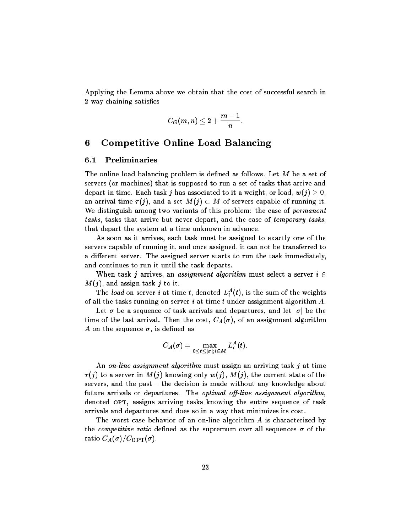Applying the Lemma above we obtain that the cost of successful search in 2-way chaining satisfies

$$
C_G(m,n)\leq 2+\frac{m-1}{n}.
$$

#### 6Competitive Online Load Balancing

### 6.1 Preliminaries

The online load balancing problem is defined as follows. Let  $M$  be a set of servers (or machines) that is supposed to run a set of tasks that arrive and depart in time. Each task j has associated to it a weight, or load,  $w(j) > 0$ , an arrival time  $\tau(j)$ , and a set  $M(j) \subset M$  of servers capable of running it. We distinguish among two variants of this problem: the case of *permanent* tasks, tasks that arrive but never depart, and the case of temporary tasks, that depart the system at a time unknown in advance.

As soon as it arrives, each task must be assigned to exactly one of the servers capable of running it, and once assigned, it can not be transferred to a different server. The assigned server starts to run the task immediately, and continues to run it until the task departs.

When task j arrives, an assignment algorithm must select a server  $i \in$  $M(j)$ , and assign task j to it.

The load on server i at time t, denoted  $L_i^A(t)$ , is the sum of the weights of all the tasks running on server  $i$  at time  $t$  under assignment algorithm  $A$ .

Let  $\sigma$  be a sequence of task arrivals and departures, and let  $|\sigma|$  be the time of the last arrival. Then the cost,  $C_A(\sigma)$ , of an assignment algorithm A on the sequence  $\sigma$ , is defined as

$$
C_A(\sigma)=\max_{0\leq t\leq |\sigma|;i\in M}L_i^A(t).
$$

An on-line assignment algorithm must assign an arriving task  $j$  at time  $\tau(j)$  to a server in  $M(j)$  knowing only  $w(j)$ ,  $M(j)$ , the current state of the servers, and the past  $-$  the decision is made without any knowledge about future arrivals or departures. The *optimal off-line assignment algorithm*, denoted OPT, assigns arriving tasks knowing the entire sequence of task arrivals and departures and does so in a way that minimizes its cost.

The worst case behavior of an on-line algorithm A is characterized by the *competitive ratio* defined as the supremum over all sequences  $\sigma$  of the ratio  $C_A(\sigma)/C_{\text{OPT}}(\sigma)$ .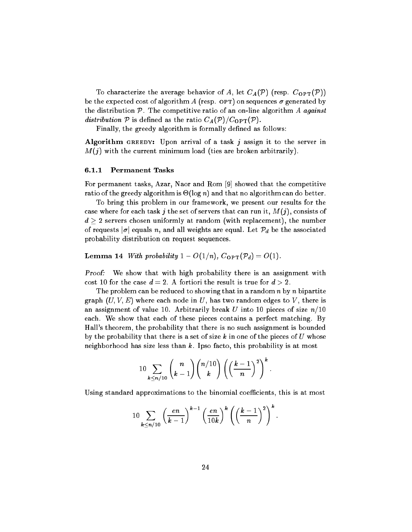To characterize the average behavior of A, let  $C_A(\mathcal{P})$  (resp.  $C_{\text{OPT}}(\mathcal{P})$ ) be the expected cost of algorithm A (resp. OPT) on sequences  $\sigma$  generated by the distribution  $P$ . The competitive ratio of an on-line algorithm A against distribution  $P$  is defined as the ratio  $C_A(P)/C_{\text{OPT}}(P)$ .

Finally, the greedy algorithm is formally defined as follows:

Algorithm GREEDY: Upon arrival of a task j assign it to the server in  $M(j)$  with the current minimum load (ties are broken arbitrarily).

### 6.1.1 Permanent Tasks

For permanent tasks, Azar, Naor and Rom [9] showed that the competitive ratio of the greedy algorithm is  $\Theta(\log n)$  and that no algorithm can do better.

To bring this problem in our framework, we present our results for the case where for each task j the set of servers that can run it,  $M(j)$ , consists of  $d\geq 2$  servers chosen uniformly at random (with replacement), the number of requests  $|\sigma|$  equals n, and all weights are equal. Let  $\mathcal{P}_d$  be the associated probability distribution on request sequences.

**Lemma 14** With probability  $1 - O(1/n)$ ,  $C_{\text{OPT}}(\mathcal{P}_d) = O(1)$ .

Proof: We show that with high probability there is an assignment with cost 10 for the case  $d = 2$ . A fortiori the result is true for  $d > 2$ .

The problem can be reduced to showing that in a random  $n$  by  $n$  bipartite graph  $(U, V, E)$  where each node in U, has two random edges to V, there is an assignment of value 10. Arbitrarily break U into 10 pieces of size  $n/10$ each. We show that each of these pieces contains a perfect matching. By Hall's theorem, the probability that there is no such assignment is bounded by the probability that there is a set of size k in one of the pieces of U whose neighborhood has size less than  $k$ . Ipso facto, this probability is at most

$$
10\sum_{k\leq n/10}\binom{n}{k-1}\binom{n/10}{k}\left(\left(\frac{k-1}{n}\right)^2\right)^k.
$$

Using standard approximations to the binomial coefficients, this is at most

$$
10\sum_{k\leq n/10}\left(\frac{en}{k-1}\right)^{k-1}\left(\frac{en}{10k}\right)^k\left(\left(\frac{k-1}{n}\right)^2\right)^k.
$$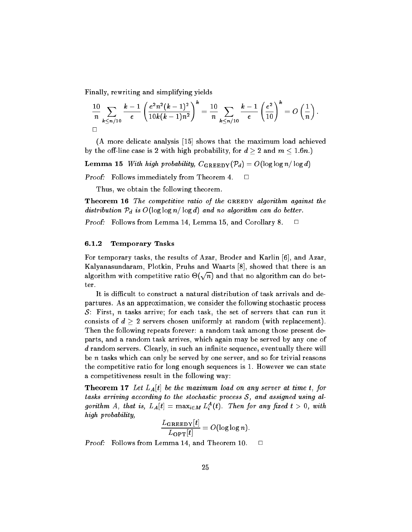Finally, rewriting and simplifying yields

$$
\frac{10}{n}\sum_{k\leq n/10}\frac{k-1}{e}\left(\frac{e^2n^2(k-1)^2}{10k(k-1)n^2}\right)^k=\frac{10}{n}\sum_{k\leq n/10}\frac{k-1}{e}\left(\frac{e^2}{10}\right)^k=O\left(\frac{1}{n}\right).
$$

(A more delicate analysis [15] shows that the maximum load achieved by the off-line case is 2 with high probability, for  $d \ge 2$  and  $m \le 1.6n$ .)

**Lemma 15** With high probability,  $C_{\text{GREEDY}}(\mathcal{P}_d) = O(\log \log n / \log d)$ 

Proof: Follows immediately from Theorem 4.  $\Box$ 

Thus, we obtain the following theorem.

**Theorem 16** The competitive ratio of the GREEDY algorithm against the distribution  $P_d$  is  $O(\log \log n/\log d)$  and no algorithm can do better.

**Proof:** Follows from Lemma 14, Lemma 15, and Corollary 8.  $\Box$ 

### 6.1.2 Temporary Tasks

For temporary tasks, the results of Azar, Broder and Karlin [6], and Azar, Kalyanasundaram, Plotkin, Pruhs and Waarts [8], showed that there is an algorithm with competitive ratio  $\Theta(\sqrt{n})$  and that no algorithm can do better.

It is difficult to construct a natural distribution of task arrivals and departures. As an approximation, we consider the following stochastic process S: First,  $n$  tasks arrive; for each task, the set of servers that can run it consists of  $d > 2$  servers chosen uniformly at random (with replacement). Then the following repeats forever: a random task among those present departs, and a random task arrives, which again may be served by any one of  $d$  random servers. Clearly, in such an infinite sequence, eventually there will be  $n$  tasks which can only be served by one server, and so for trivial reasons the competitive ratio for long enough sequences is 1. However we can state a competitiveness result in the following way:

**Theorem 17** Let  $L_A[t]$  be the maximum load on any server at time t, for tasks arriving according to the stochastic process  $S$ , and assigned using algorithm A, that is,  $L_A[t] = \max_{i \in M} L_i^A(t)$ . Then for any fixed  $t > 0$ , with high probability,

$$
\frac{L_{\text{GREEDY}}[t]}{L_{\text{OPT}}[t]} = O(\log \log n).
$$

**Proof:** Follows from Lemma 14, and Theorem 10.  $\Box$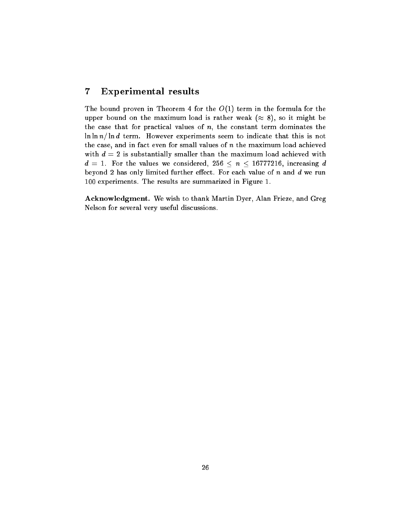#### 7Experimental results

The bound proven in Theorem 4 for the  $O(1)$  term in the formula for the upper bound on the maximum load is rather weak  $(\approx 8)$ , so it might be the case that for practical values of  $n$ , the constant term dominates the  $\ln \ln n / \ln d$  term. However experiments seem to indicate that this is not the case, and in fact even for small values of  $n$  the maximum load achieved with  $d = 2$  is substantially smaller than the maximum load achieved with  $d\,=\,1.$  For the values we considered,  $256\,\leq\,n\,\leq\,16777216,$  increasing  $d$ beyond 2 has only limited further effect. For each value of  $n$  and  $d$  we run 100 experiments. The results are summarized in Figure 1.

Acknowledgment. We wish to thank Martin Dyer, Alan Frieze, and Greg Nelson for several very useful discussions.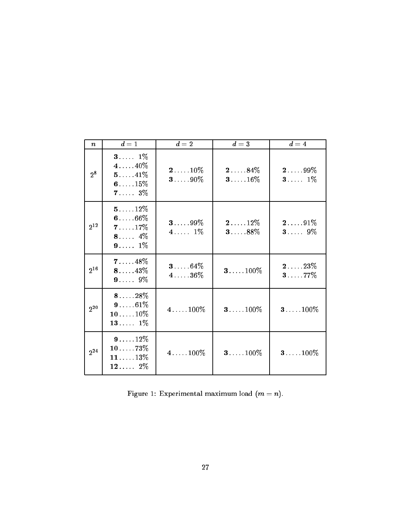| $\boldsymbol{n}$ | $d=1$                                                              | $d=2$              | $d=3$                      | $d=4$                       |
|------------------|--------------------------------------------------------------------|--------------------|----------------------------|-----------------------------|
| $2^8$            | <b>3</b> $1\%$<br>$410\%$<br>$511\%$<br>6 $15\%$<br>$73\%$         | $210\%$<br>$390\%$ | 284%<br>$316\%$            | $299\%$<br>$3 1\%$          |
| $2^{12}$         | $5 \ldots 12\%$<br>$606\%$<br>$717\%$<br>8 $4\%$<br><b>9</b> $1\%$ | $399\%$<br>$41\%$  | $212\%$<br>$3 \ldots 88\%$ | $291\%$<br>$3 9\%$          |
| $2^{16}$         | $718\%$<br>$813\%$<br><b>9</b> 9\%                                 | $364\%$<br>$436\%$ | $3100\%$                   | $2123\%$<br>$3 \ldots 77\%$ |
| $2^{20}$         | $818\%$<br>$961\%$<br>$1010\%$<br>13 $1\%$                         | $4100\%$           | $3100\%$                   | $3100\%$                    |
| 2 <sup>24</sup>  | $912\%$<br>$1073\%$<br>$1113\%$<br>12 $2\%$                        | $4100\%$           | $3100\%$                   | $3100\%$                    |

Figure 1: Experimental maximum load  $(m = n)$ .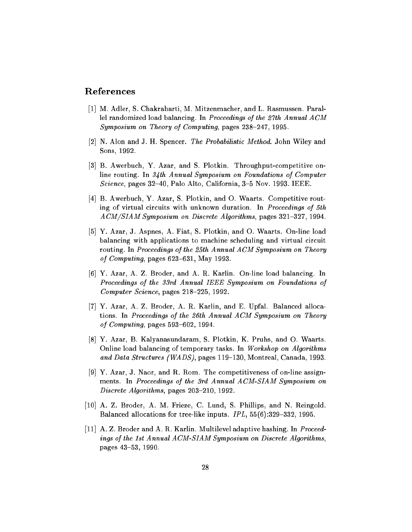## References

- [1] M. Adler, S. Chakrabarti, M. Mitzenmacher, and L. Rasmussen. Parallel randomized load balancing. In Proceedings of the 27th Annual ACM Symposium on Theory of Computing, pages  $238-247$ , 1995.
- [2] N. Alon and J. H. Spencer. The Probabilistic Method. John Wiley and Sons, 1992.
- [3] B. Awerbuch, Y. Azar, and S. Plotkin. Throughput-competitive online routing. In 34th Annual Symposium on Foundations of Computer Science, pages  $32-40$ , Palo Alto, California,  $3-5$  Nov. 1993. IEEE.
- [4] B. Awerbuch, Y. Azar, S. Plotkin, and O. Waarts. Competitive routing of virtual circuits with unknown duration. In Proceedings of 5th  $ACM/SIAM$  Symposium on Discrete Algorithms, pages 321-327, 1994.
- [5] Y. Azar, J. Aspnes, A. Fiat, S. Plotkin, and O. Waarts. On-line load balancing with applications to machine scheduling and virtual circuit routing. In Proceedings of the 25th Annual ACM Symposium on Theory of Computing, pages  $623-631$ , May 1993.
- [6] Y. Azar, A. Z. Broder, and A. R. Karlin. On-line load balancing. In Proceedings of the 33rd Annual IEEE Symposium on Foundations of Computer Science, pages  $218-225$ , 1992.
- [7] Y. Azar, A. Z. Broder, A. R. Karlin, and E. Upfal. Balanced allocations. In Proceedings of the 26th Annual ACM Symposium on Theory of Computing, pages  $593-602$ , 1994.
- [8] Y. Azar, B. Kalyanasundaram, S. Plotkin, K. Pruhs, and O. Waarts. Online load balancing of temporary tasks. In Workshop on Algorithms and Data Structures (WADS), pages 119-130, Montreal, Canada, 1993.
- [9] Y. Azar, J. Naor, and R. Rom. The competitiveness of on-line assignments. In Proceedings of the 3rd Annual ACM-SIAM Symposium on Discrete Algorithms, pages 203-210, 1992.
- [10] A. Z. Broder, A. M. Frieze, C. Lund, S. Phillips, and N. Reingold. Balanced allocations for tree-like inputs.  $IPL$ ,  $55(6)$ : 329-332, 1995.
- [11] A. Z. Broder and A. R. Karlin. Multilevel adaptive hashing. In Proceedings of the 1st Annual ACM-SIAM Symposium on Discrete Algorithms, pages 43-53, 1990.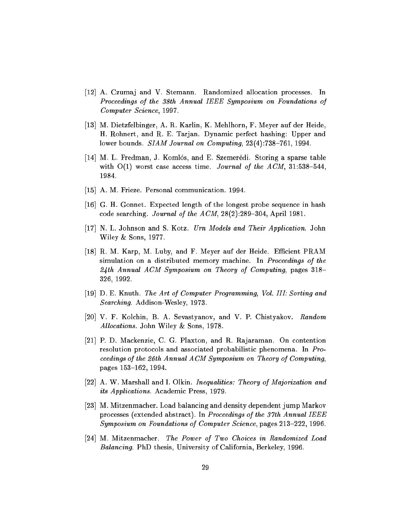- [12] A. Czumaj and V. Stemann. Randomized allocation processes. In Proceedings of the 38th Annual IEEE Symposium on Foundations of Computer Science, 1997.
- [13] M. Dietzfelbinger, A. R. Karlin, K. Mehlhorn, F. Meyer auf der Heide, H. Rohnert, and R. E. Tarjan. Dynamic perfect hashing: Upper and lower bounds.  $SIAM$  Journal on Computing,  $23(4)$ :738-761, 1994.
- [14] M. L. Fredman, J. Komlós, and E. Szemerédi. Storing a sparse table with  $O(1)$  worst case access time. Journal of the ACM, 31:538-544. 1984.
- [15] A. M. Frieze. Personal communication. 1994.
- [16] G. H. Gonnet. Expected length of the longest probe sequence in hash code searching. Journal of the  $ACM$ ,  $28(2):289-304$ , April 1981.
- [17] N. L. Johnson and S. Kotz. Urn Models and Their Application. John Wiley & Sons, 1977.
- [18] R. M. Karp, M. Luby, and F. Meyer auf der Heide. Efficient PRAM simulation on a distributed memory machine. In Proceedings of the  $24th$  Annual ACM Symposium on Theory of Computing, pages 318-326, 1992.
- [19] D. E. Knuth. The Art of Computer Programming, Vol. III: Sorting and Searching. Addison-Wesley, 1973.
- [20] V. F. Kolchin, B. A. Sevastyanov, and V. P. Chistyakov. Random Allocations. John Wiley & Sons, 1978.
- [21] P. D. Mackenzie, C. G. Plaxton, and R. Rajaraman. On contention resolution protocols and associated probabilistic phenomena. In Proceedings of the 26th Annual ACM Symposium on Theory of Computing, pages 153-162, 1994.
- [22] A. W. Marshall and I. Olkin. Inequalities: Theory of Majorization and its Applications. Academic Press, 1979.
- [23] M. Mitzenmacher. Load balancing and density dependent jump Markov processes (extended abstract). In Proceedings of the 37th Annual IEEE Symposium on Foundations of Computer Science, pages  $213-222$ , 1996.
- [24] M. Mitzenmacher. The Power of Two Choices in Randomized Load Balancing. PhD thesis, University of California, Berkeley, 1996.